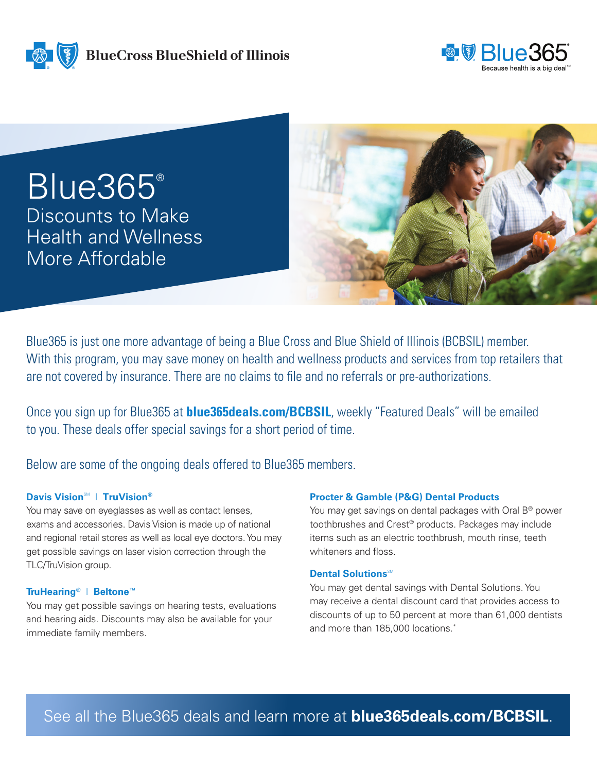**BlueCross BlueShield of Illinois** 



Blue365® Discounts to Make Health and Wellness More Affordable



Blue365 is just one more advantage of being a Blue Cross and Blue Shield of Illinois (BCBSIL) member. With this program, you may save money on health and wellness products and services from top retailers that are not covered by insurance. There are no claims to file and no referrals or pre-authorizations.

Once you sign up for Blue365 at **blue365deals.com/BCBSIL**, weekly "Featured Deals" will be emailed to you. These deals offer special savings for a short period of time.

Below are some of the ongoing deals offered to Blue365 members.

## $\text{Davis Vision}^{\text{SM}}$  | TruVision®

You may save on eyeglasses as well as contact lenses, exams and accessories. Davis Vision is made up of national and regional retail stores as well as local eye doctors. You may get possible savings on laser vision correction through the TLC/TruVision group.

## **TruHearing®** | **Beltone™**

You may get possible savings on hearing tests, evaluations and hearing aids. Discounts may also be available for your immediate family members.

## **Procter & Gamble (P&G) Dental Products**

You may get savings on dental packages with Oral B<sup>®</sup> power toothbrushes and Crest® products. Packages may include items such as an electric toothbrush, mouth rinse, teeth whiteners and floss.

## **Dental Solutions**SM

You may get dental savings with Dental Solutions. You may receive a dental discount card that provides access to discounts of up to 50 percent at more than 61,000 dentists and more than 185,000 locations.\*